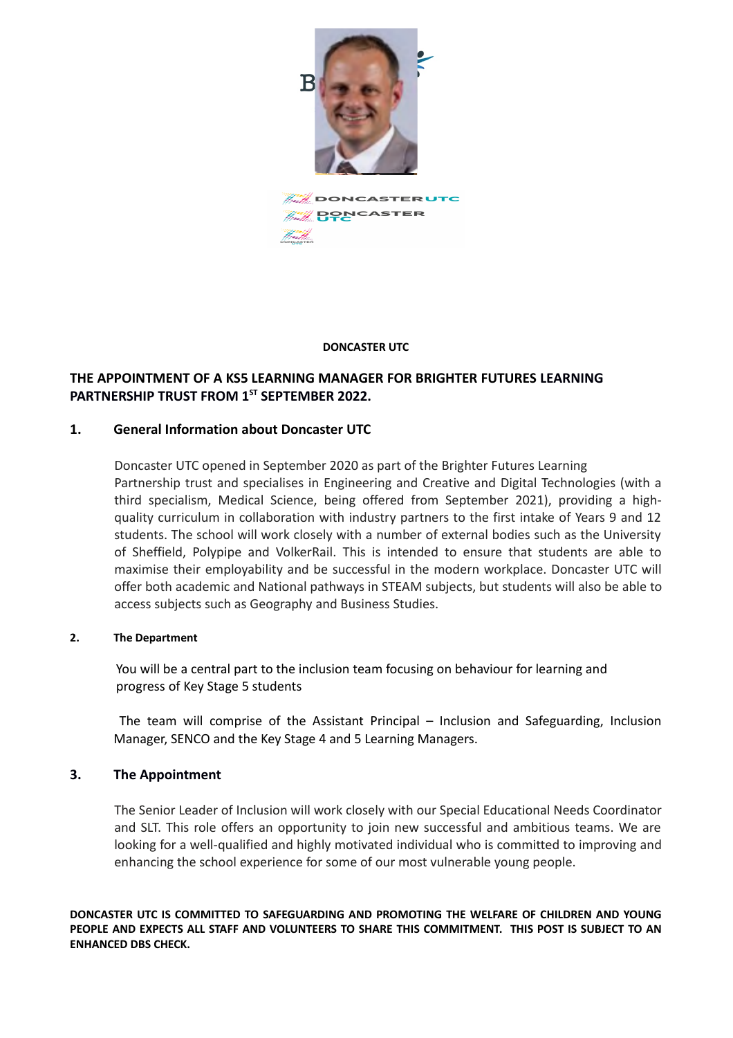

**A. A** DONCASTER UTC **PONCASTER** 

### **DONCASTER UTC**

# **THE APPOINTMENT OF A KS5 LEARNING MANAGER FOR BRIGHTER FUTURES LEARNING PARTNERSHIP TRUST FROM 1ST SEPTEMBER 2022.**

## **1. General Information about Doncaster UTC**

Doncaster UTC opened in September 2020 as part of the Brighter Futures Learning Partnership trust and specialises in Engineering and Creative and Digital Technologies (with a third specialism, Medical Science, being offered from September 2021), providing a highquality curriculum in collaboration with industry partners to the first intake of Years 9 and 12 students. The school will work closely with a number of external bodies such as the University of Sheffield, Polypipe and VolkerRail. This is intended to ensure that students are able to maximise their employability and be successful in the modern workplace. Doncaster UTC will offer both academic and National pathways in STEAM subjects, but students will also be able to access subjects such as Geography and Business Studies.

### **2. The Department**

You will be a central part to the inclusion team focusing on behaviour for learning and progress of Key Stage 5 students

 The team will comprise of the Assistant Principal – Inclusion and Safeguarding, Inclusion Manager, SENCO and the Key Stage 4 and 5 Learning Managers.

## **3. The Appointment**

The Senior Leader of Inclusion will work closely with our Special Educational Needs Coordinator and SLT. This role offers an opportunity to join new successful and ambitious teams. We are looking for a well-qualified and highly motivated individual who is committed to improving and enhancing the school experience for some of our most vulnerable young people.

**DONCASTER UTC IS COMMITTED TO SAFEGUARDING AND PROMOTING THE WELFARE OF CHILDREN AND YOUNG PEOPLE AND EXPECTS ALL STAFF AND VOLUNTEERS TO SHARE THIS COMMITMENT. THIS POST IS SUBJECT TO AN ENHANCED DBS CHECK.**